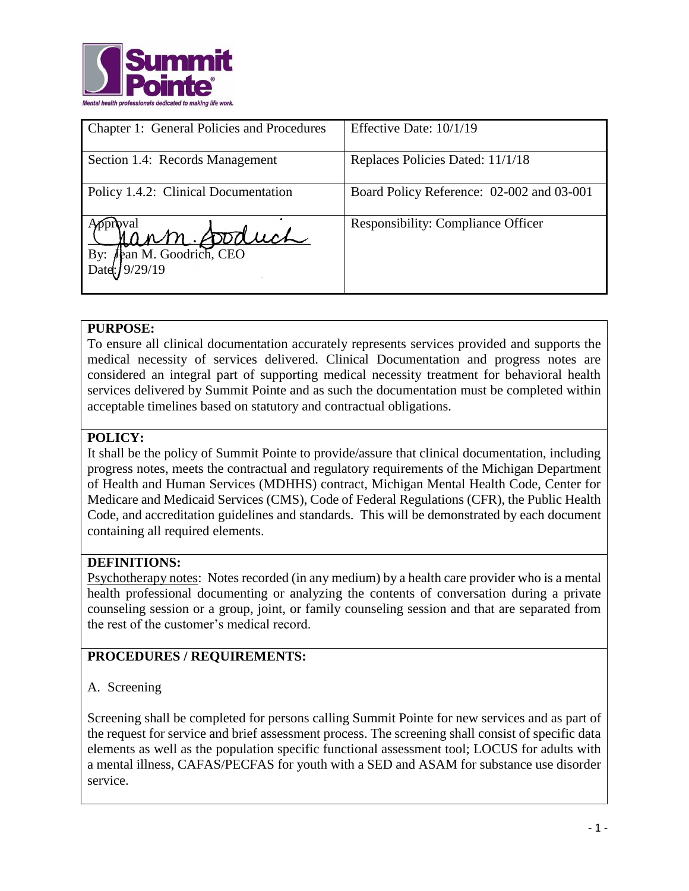

| Chapter 1: General Policies and Procedures | Effective Date: 10/1/19                   |
|--------------------------------------------|-------------------------------------------|
| Section 1.4: Records Management            | Replaces Policies Dated: 11/1/18          |
| Policy 1.4.2: Clinical Documentation       | Board Policy Reference: 02-002 and 03-001 |
| Jann Doduch<br>By:<br>Date: 19/29/19       | <b>Responsibility: Compliance Officer</b> |

### **PURPOSE:**

To ensure all clinical documentation accurately represents services provided and supports the medical necessity of services delivered. Clinical Documentation and progress notes are considered an integral part of supporting medical necessity treatment for behavioral health services delivered by Summit Pointe and as such the documentation must be completed within acceptable timelines based on statutory and contractual obligations.

## **POLICY:**

It shall be the policy of Summit Pointe to provide/assure that clinical documentation, including progress notes, meets the contractual and regulatory requirements of the Michigan Department of Health and Human Services (MDHHS) contract, Michigan Mental Health Code, Center for Medicare and Medicaid Services (CMS), Code of Federal Regulations (CFR), the Public Health Code, and accreditation guidelines and standards. This will be demonstrated by each document containing all required elements.

### **DEFINITIONS:**

Psychotherapy notes: Notes recorded (in any medium) by a health care provider who is a mental health professional documenting or analyzing the contents of conversation during a private counseling session or a group, joint, or family counseling session and that are separated from the rest of the customer's medical record.

# **PROCEDURES / REQUIREMENTS:**

### A. Screening

Screening shall be completed for persons calling Summit Pointe for new services and as part of the request for service and brief assessment process. The screening shall consist of specific data elements as well as the population specific functional assessment tool; LOCUS for adults with a mental illness, CAFAS/PECFAS for youth with a SED and ASAM for substance use disorder service.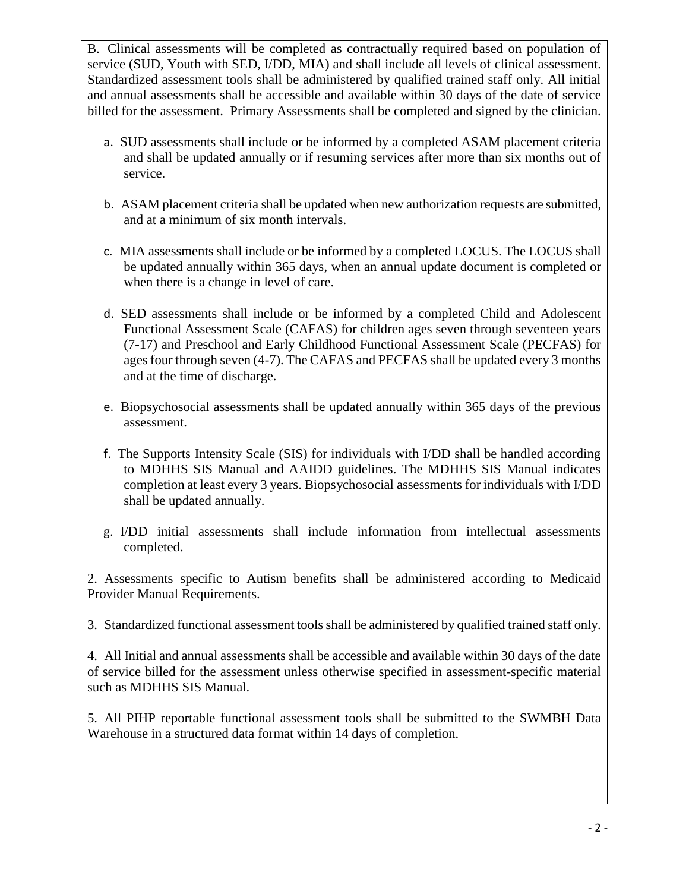B. Clinical assessments will be completed as contractually required based on population of service (SUD, Youth with SED, I/DD, MIA) and shall include all levels of clinical assessment. Standardized assessment tools shall be administered by qualified trained staff only. All initial and annual assessments shall be accessible and available within 30 days of the date of service billed for the assessment. Primary Assessments shall be completed and signed by the clinician.

- a. SUD assessments shall include or be informed by a completed ASAM placement criteria and shall be updated annually or if resuming services after more than six months out of service.
- b. ASAM placement criteria shall be updated when new authorization requests are submitted, and at a minimum of six month intervals.
- c. MIA assessments shall include or be informed by a completed LOCUS. The LOCUS shall be updated annually within 365 days, when an annual update document is completed or when there is a change in level of care.
- d. SED assessments shall include or be informed by a completed Child and Adolescent Functional Assessment Scale (CAFAS) for children ages seven through seventeen years (7-17) and Preschool and Early Childhood Functional Assessment Scale (PECFAS) for ages four through seven (4-7). The CAFAS and PECFAS shall be updated every 3 months and at the time of discharge.
- e. Biopsychosocial assessments shall be updated annually within 365 days of the previous assessment.
- f. The Supports Intensity Scale (SIS) for individuals with I/DD shall be handled according to MDHHS SIS Manual and AAIDD guidelines. The MDHHS SIS Manual indicates completion at least every 3 years. Biopsychosocial assessments for individuals with I/DD shall be updated annually.
- g. I/DD initial assessments shall include information from intellectual assessments completed.

2. Assessments specific to Autism benefits shall be administered according to Medicaid Provider Manual Requirements.

3. Standardized functional assessment tools shall be administered by qualified trained staff only.

4. All Initial and annual assessments shall be accessible and available within 30 days of the date of service billed for the assessment unless otherwise specified in assessment-specific material such as MDHHS SIS Manual.

5. All PIHP reportable functional assessment tools shall be submitted to the SWMBH Data Warehouse in a structured data format within 14 days of completion.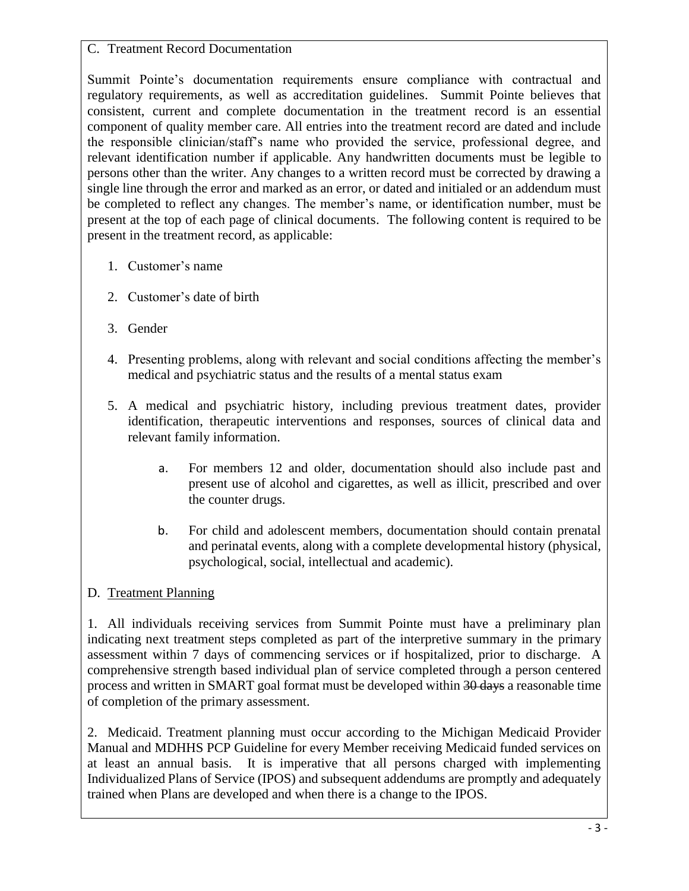### C. Treatment Record Documentation

Summit Pointe's documentation requirements ensure compliance with contractual and regulatory requirements, as well as accreditation guidelines. Summit Pointe believes that consistent, current and complete documentation in the treatment record is an essential component of quality member care. All entries into the treatment record are dated and include the responsible clinician/staff's name who provided the service, professional degree, and relevant identification number if applicable. Any handwritten documents must be legible to persons other than the writer. Any changes to a written record must be corrected by drawing a single line through the error and marked as an error, or dated and initialed or an addendum must be completed to reflect any changes. The member's name, or identification number, must be present at the top of each page of clinical documents. The following content is required to be present in the treatment record, as applicable:

- 1. Customer's name
- 2. Customer's date of birth
- 3. Gender
- 4. Presenting problems, along with relevant and social conditions affecting the member's medical and psychiatric status and the results of a mental status exam
- 5. A medical and psychiatric history, including previous treatment dates, provider identification, therapeutic interventions and responses, sources of clinical data and relevant family information.
	- a. For members 12 and older, documentation should also include past and present use of alcohol and cigarettes, as well as illicit, prescribed and over the counter drugs.
	- b. For child and adolescent members, documentation should contain prenatal and perinatal events, along with a complete developmental history (physical, psychological, social, intellectual and academic).

# D. Treatment Planning

1. All individuals receiving services from Summit Pointe must have a preliminary plan indicating next treatment steps completed as part of the interpretive summary in the primary assessment within 7 days of commencing services or if hospitalized, prior to discharge. A comprehensive strength based individual plan of service completed through a person centered process and written in SMART goal format must be developed within 30 days a reasonable time of completion of the primary assessment.

2. Medicaid. Treatment planning must occur according to the Michigan Medicaid Provider Manual and MDHHS PCP Guideline for every Member receiving Medicaid funded services on at least an annual basis. It is imperative that all persons charged with implementing Individualized Plans of Service (IPOS) and subsequent addendums are promptly and adequately trained when Plans are developed and when there is a change to the IPOS.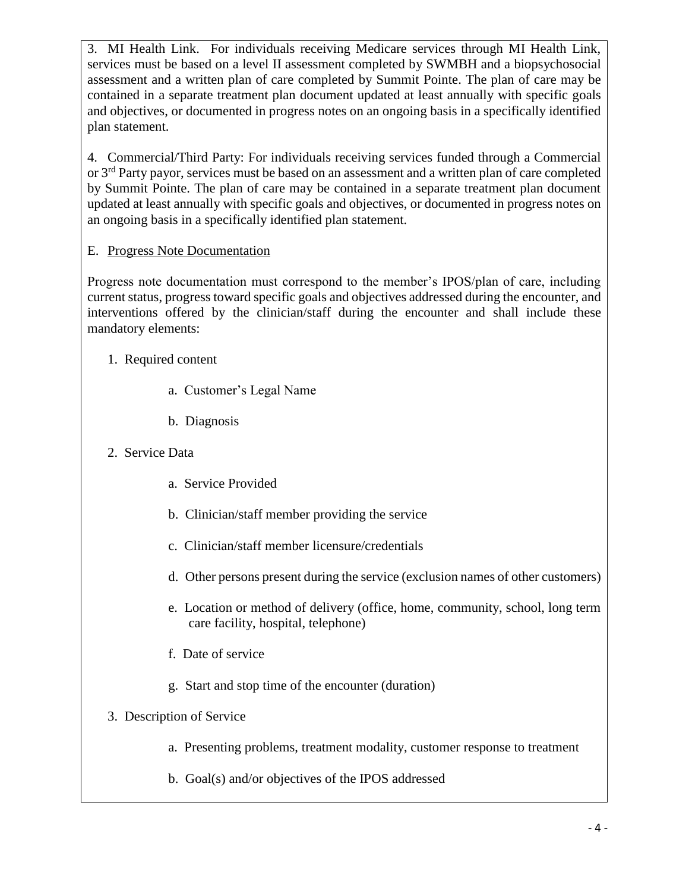3. MI Health Link. For individuals receiving Medicare services through MI Health Link, services must be based on a level II assessment completed by SWMBH and a biopsychosocial assessment and a written plan of care completed by Summit Pointe. The plan of care may be contained in a separate treatment plan document updated at least annually with specific goals and objectives, or documented in progress notes on an ongoing basis in a specifically identified plan statement.

4. Commercial/Third Party: For individuals receiving services funded through a Commercial or  $3<sup>rd</sup>$  Party payor, services must be based on an assessment and a written plan of care completed by Summit Pointe. The plan of care may be contained in a separate treatment plan document updated at least annually with specific goals and objectives, or documented in progress notes on an ongoing basis in a specifically identified plan statement.

# E. Progress Note Documentation

Progress note documentation must correspond to the member's IPOS/plan of care, including current status, progress toward specific goals and objectives addressed during the encounter, and interventions offered by the clinician/staff during the encounter and shall include these mandatory elements:

- 1. Required content
	- a. Customer's Legal Name
	- b. Diagnosis
- 2. Service Data
	- a. Service Provided
	- b. Clinician/staff member providing the service
	- c. Clinician/staff member licensure/credentials
	- d. Other persons present during the service (exclusion names of other customers)
	- e. Location or method of delivery (office, home, community, school, long term care facility, hospital, telephone)
	- f. Date of service
	- g. Start and stop time of the encounter (duration)
- 3. Description of Service
	- a. Presenting problems, treatment modality, customer response to treatment
	- b. Goal(s) and/or objectives of the IPOS addressed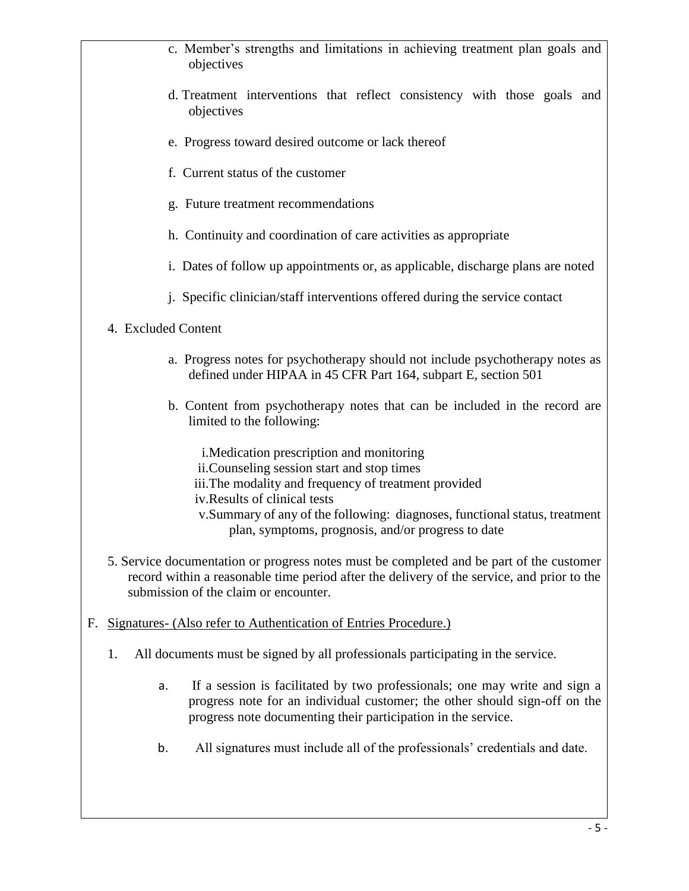- c. Member's strengths and limitations in achieving treatment plan goals and objectives d. Treatment interventions that reflect consistency with those goals and objectives e. Progress toward desired outcome or lack thereof f. Current status of the customer g. Future treatment recommendations h. Continuity and coordination of care activities as appropriate i. Dates of follow up appointments or, as applicable, discharge plans are noted j. Specific clinician/staff interventions offered during the service contact 4. Excluded Content a. Progress notes for psychotherapy should not include psychotherapy notes as defined under HIPAA in 45 CFR Part 164, subpart E, section 501 b. Content from psychotherapy notes that can be included in the record are limited to the following: i.Medication prescription and monitoring ii.Counseling session start and stop times iii.The modality and frequency of treatment provided iv.Results of clinical tests v.Summary of any of the following: diagnoses, functional status, treatment plan, symptoms, prognosis, and/or progress to date 5. Service documentation or progress notes must be completed and be part of the customer record within a reasonable time period after the delivery of the service, and prior to the submission of the claim or encounter. F. Signatures- (Also refer to Authentication of Entries Procedure.) 1. All documents must be signed by all professionals participating in the service. a. If a session is facilitated by two professionals; one may write and sign a progress note for an individual customer; the other should sign-off on the
	- b. All signatures must include all of the professionals' credentials and date.

progress note documenting their participation in the service.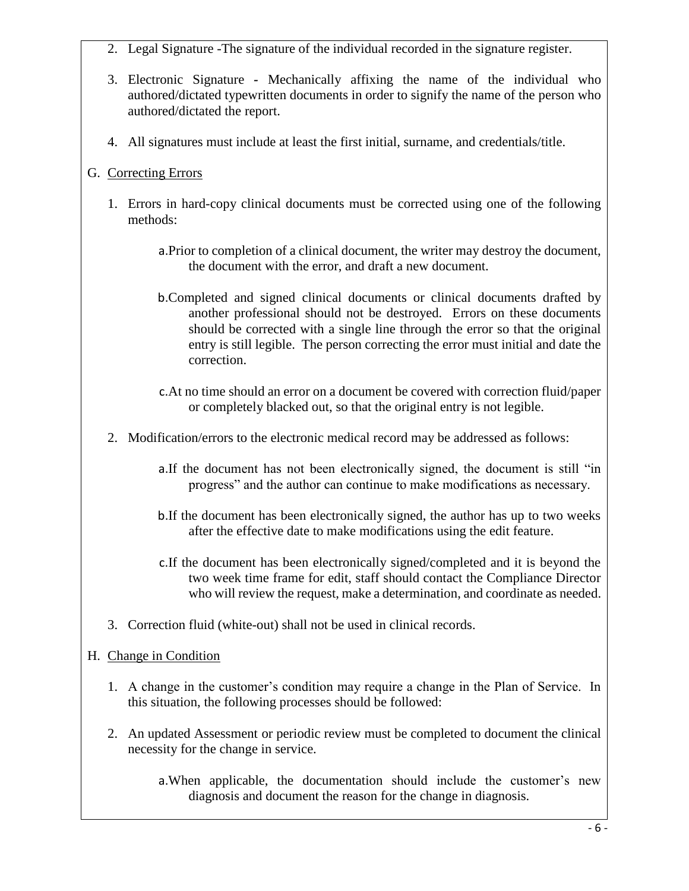- 2. Legal Signature *-*The signature of the individual recorded in the signature register.
- 3. Electronic Signature *-* Mechanically affixing the name of the individual who authored/dictated typewritten documents in order to signify the name of the person who authored/dictated the report.
- 4. All signatures must include at least the first initial, surname, and credentials/title.

# G. Correcting Errors

- 1. Errors in hard-copy clinical documents must be corrected using one of the following methods:
	- a.Prior to completion of a clinical document, the writer may destroy the document, the document with the error, and draft a new document.
	- b.Completed and signed clinical documents or clinical documents drafted by another professional should not be destroyed. Errors on these documents should be corrected with a single line through the error so that the original entry is still legible. The person correcting the error must initial and date the correction.
	- c.At no time should an error on a document be covered with correction fluid/paper or completely blacked out, so that the original entry is not legible.
- 2. Modification/errors to the electronic medical record may be addressed as follows:
	- a.If the document has not been electronically signed, the document is still "in progress" and the author can continue to make modifications as necessary.
	- b.If the document has been electronically signed, the author has up to two weeks after the effective date to make modifications using the edit feature.
	- c.If the document has been electronically signed/completed and it is beyond the two week time frame for edit, staff should contact the Compliance Director who will review the request, make a determination, and coordinate as needed.
- 3. Correction fluid (white-out) shall not be used in clinical records.

# H. Change in Condition

- 1. A change in the customer's condition may require a change in the Plan of Service. In this situation, the following processes should be followed:
- 2. An updated Assessment or periodic review must be completed to document the clinical necessity for the change in service.
	- a.When applicable, the documentation should include the customer's new diagnosis and document the reason for the change in diagnosis.